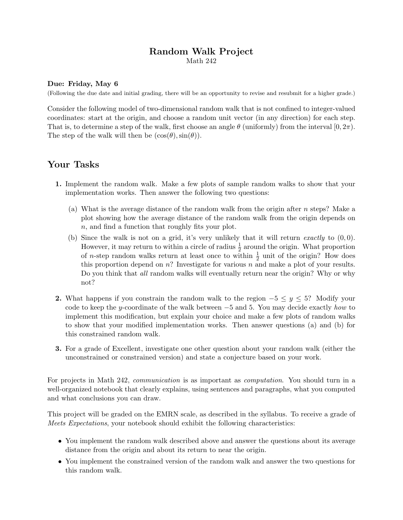## Random Walk Project Math 242

## Due: Friday, May 6

(Following the due date and initial grading, there will be an opportunity to revise and resubmit for a higher grade.)

Consider the following model of two-dimensional random walk that is not confined to integer-valued coordinates: start at the origin, and choose a random unit vector (in any direction) for each step. That is, to determine a step of the walk, first choose an angle  $\theta$  (uniformly) from the interval  $[0, 2\pi)$ . The step of the walk will then be  $(\cos(\theta), \sin(\theta))$ .

## Your Tasks

- 1. Implement the random walk. Make a few plots of sample random walks to show that your implementation works. Then answer the following two questions:
	- (a) What is the average distance of the random walk from the origin after  $n$  steps? Make a plot showing how the average distance of the random walk from the origin depends on n, and find a function that roughly fits your plot.
	- (b) Since the walk is not on a grid, it's very unlikely that it will return *exactly* to  $(0, 0)$ . However, it may return to within a circle of radius  $\frac{1}{2}$  around the origin. What proportion of *n*-step random walks return at least once to within  $\frac{1}{2}$  unit of the origin? How does this proportion depend on  $n$ ? Investigate for various  $n$  and make a plot of your results. Do you think that all random walks will eventually return near the origin? Why or why not?
- 2. What happens if you constrain the random walk to the region  $-5 \leq y \leq 5$ ? Modify your code to keep the y-coordinate of the walk between  $-5$  and 5. You may decide exactly how to implement this modification, but explain your choice and make a few plots of random walks to show that your modified implementation works. Then answer questions (a) and (b) for this constrained random walk.
- 3. For a grade of Excellent, investigate one other question about your random walk (either the unconstrained or constrained version) and state a conjecture based on your work.

For projects in Math 242, *communication* is as important as *computation*. You should turn in a well-organized notebook that clearly explains, using sentences and paragraphs, what you computed and what conclusions you can draw.

This project will be graded on the EMRN scale, as described in the syllabus. To receive a grade of Meets Expectations, your notebook should exhibit the following characteristics:

- You implement the random walk described above and answer the questions about its average distance from the origin and about its return to near the origin.
- You implement the constrained version of the random walk and answer the two questions for this random walk.